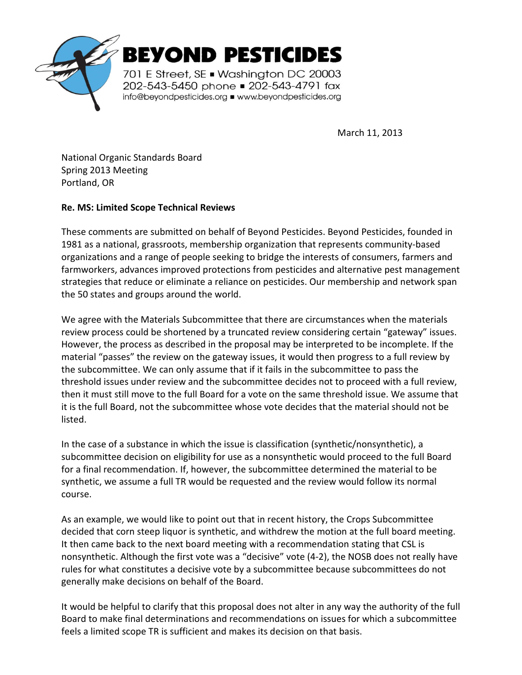

March 11, 2013

National Organic Standards Board Spring 2013 Meeting Portland, OR

## **Re. MS: Limited Scope Technical Reviews**

These comments are submitted on behalf of Beyond Pesticides. Beyond Pesticides, founded in 1981 as a national, grassroots, membership organization that represents community-based organizations and a range of people seeking to bridge the interests of consumers, farmers and farmworkers, advances improved protections from pesticides and alternative pest management strategies that reduce or eliminate a reliance on pesticides. Our membership and network span the 50 states and groups around the world.

We agree with the Materials Subcommittee that there are circumstances when the materials review process could be shortened by a truncated review considering certain "gateway" issues. However, the process as described in the proposal may be interpreted to be incomplete. If the material "passes" the review on the gateway issues, it would then progress to a full review by the subcommittee. We can only assume that if it fails in the subcommittee to pass the threshold issues under review and the subcommittee decides not to proceed with a full review, then it must still move to the full Board for a vote on the same threshold issue. We assume that it is the full Board, not the subcommittee whose vote decides that the material should not be listed.

In the case of a substance in which the issue is classification (synthetic/nonsynthetic), a subcommittee decision on eligibility for use as a nonsynthetic would proceed to the full Board for a final recommendation. If, however, the subcommittee determined the material to be synthetic, we assume a full TR would be requested and the review would follow its normal course.

As an example, we would like to point out that in recent history, the Crops Subcommittee decided that corn steep liquor is synthetic, and withdrew the motion at the full board meeting. It then came back to the next board meeting with a recommendation stating that CSL is nonsynthetic. Although the first vote was a "decisive" vote (4-2), the NOSB does not really have rules for what constitutes a decisive vote by a subcommittee because subcommittees do not generally make decisions on behalf of the Board.

It would be helpful to clarify that this proposal does not alter in any way the authority of the full Board to make final determinations and recommendations on issues for which a subcommittee feels a limited scope TR is sufficient and makes its decision on that basis.